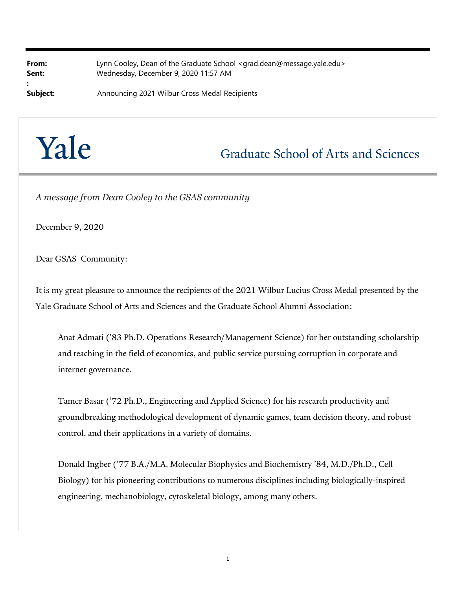| From:    | Lynn Cooley, Dean of the Graduate School <grad.dean@message.yale.edu></grad.dean@message.yale.edu> |
|----------|----------------------------------------------------------------------------------------------------|
| Sent:    | Wednesday, December 9, 2020 11:57 AM                                                               |
|          |                                                                                                    |
| Subject: | Announcing 2021 Wilbur Cross Medal Recipients                                                      |



## **Graduate School of Arts and Sciences**

*A message from Dean Cooley to the GSAS community*

December 9, 2020

Dear GSAS Community:

It is my great pleasure to announce the recipients of the 2021 Wilbur Lucius Cross Medal presented by the Yale Graduate School of Arts and Sciences and the Graduate School Alumni Association:

Anat Admati ('83 Ph.D. Operations Research/Management Science) for her outstanding scholarship and teaching in the field of economics, and public service pursuing corruption in corporate and internet governance.

Tamer Basar ('72 Ph.D., Engineering and Applied Science) for his research productivity and groundbreaking methodological development of dynamic games, team decision theory, and robust control, and their applications in a variety of domains.

Donald Ingber ('77 B.A./M.A. Molecular Biophysics and Biochemistry '84, M.D./Ph.D., Cell Biology) for his pioneering contributions to numerous disciplines including biologically-inspired engineering, mechanobiology, cytoskeletal biology, among many others.